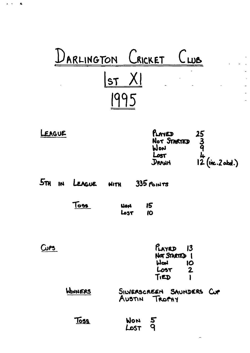|                               | DARLINGTON CRICKET CWB                                                                    |
|-------------------------------|-------------------------------------------------------------------------------------------|
|                               | X <br>$\sf l$ st                                                                          |
|                               |                                                                                           |
| LEAGUE                        | PLAYED<br>$25$<br>3<br>4<br>12 (inc.2 abd.)<br>Not STARTED<br>Won<br>Lost<br><b>DRANH</b> |
| $5\pi$<br><b>IN</b><br>LEAGUE | $335$ POINTS<br><b>HITH</b>                                                               |
| To <del>os</del>              | 15<br>Hori<br>10<br>Lost                                                                  |
| WP5                           | $P_{LAYED}$ 13<br>NOT STARTED 1<br>Worl<br>10<br>Lost.<br>$\mathbf{z}$<br>TIED            |
| WINNERS                       | SILVERSCREEN SAUNDERS CUP<br>AUSTIN TROPHY                                                |
| <u>Toss</u>                   | <b>WON</b><br>$\overline{5}$<br>LOST                                                      |

 $\bar{\mathcal{L}}$ 

 $\Box$  $\mathcal{L}^{\mathcal{L}}$  $\mathbb{Z}^2$  $\sim$  $\overline{a}$  $\overline{a}$  $\overline{\phantom{a}}$ 

 $\mathbf{A}^{\dagger}$  and  $\mathbf{A}^{\dagger}$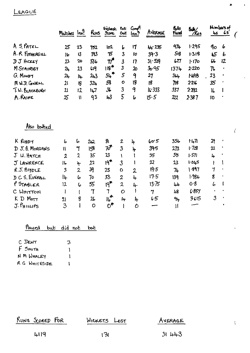### LEAGUE

|                  | Matches Inn?               |                | Runs                  | Highest<br>Sone       | <b>Not</b><br><b>Out</b> | Comp!<br>lnn?          | AVERACE     | <b>Buils</b><br>Faced | 6⊭∠<br>7Rua | كبأ                                | Numbers of<br>6s |  |
|------------------|----------------------------|----------------|-----------------------|-----------------------|--------------------------|------------------------|-------------|-----------------------|-------------|------------------------------------|------------------|--|
| A S. PATEL       | 25                         | 23             | 152                   | 102                   | b                        | 17                     | 44.235      | 974                   | 1.295       | qo                                 | 6                |  |
| A. R FOTHERGILL  | 16                         | 13             | 393                   | 75                    | 3                        | to                     | 39.3        | 518                   | 1.318       | 45                                 | b                |  |
| $J J$ thangy     | 23                         | 20             | 536                   | $\tau^{\bullet}$      | $\overline{\mathbf{3}}$  | 17                     | 31.529      | L27                   | 1.170       | 66                                 | 12               |  |
| M.STAINSBY       | 24                         | 13             | 619                   | $119*$                | 3                        | $\boldsymbol{\lambda}$ | 30.95       | 1374                  | 2.220       | 76                                 |                  |  |
| $G.$ Moop $\neg$ | 24                         | 卟              | 243                   | $54$ <sup>*</sup>     | 5                        | 9                      | 27          | 314                   | 1.498       | 23                                 | ٠                |  |
| MW. D. CONELL    | $\mathfrak{p}_1$           | 18             | $32+$                 | 58                    | $\bullet$                | 18                     | 18          | 718                   | 2216        | 35                                 | $\bullet$        |  |
| T.W. BLACKBURN   | 21                         | 12             | 147                   | $\mathfrak{R}$        | 3                        | 9                      | 16.333      | 337                   | 2292        | $\mathsf{I}^{\prime}_{\mathsf{b}}$ | ł                |  |
| A. RAINE         | 25                         | $\mathbf{I}$   | 93                    | 43                    | 5                        | 6                      | 15.5        | 222                   | 2387        | 10                                 |                  |  |
| Also botted      |                            |                |                       |                       |                          |                        |             |                       |             |                                    |                  |  |
| K RODDY          | 6                          | 6              | 212                   | 81                    | $\mathbf{2}$             | 4                      | 60.5        | 356                   | 1.471       | 29                                 | ٠                |  |
| D J.B. MORGANS   | $\boldsymbol{\mathcal{U}}$ | ኀ              | 158                   | 78                    | $\overline{\mathbf{3}}$  | ት                      | 395         | 273                   | $1 - 728$   | 22                                 |                  |  |
| $J$ $W$ . HATCH  | $\mathbf{2}$               | $\overline{2}$ | 35                    | 23                    | $\mathbf{I}$             |                        | 35          | 55                    | 1.571       | 4                                  |                  |  |
| J LAWRENCE       | 16                         | 4              | 22                    | 19*                   | $\overline{3}$           | ١                      | 22          | 23                    | 1.045       | 1                                  |                  |  |
| R.J. BIDDLE      | 3                          | $\overline{2}$ | 39                    | 25                    | $\mathbf 0$              | $\mathbf{2}$           | 19.5        | 74                    | 1.897       | $\overline{7}$                     |                  |  |
| DCS. EVERALL     | ll⊦                        | 6              | 70                    | 33                    | $\overline{2}$           | 4                      | 17.5        | 139                   | 1.986       | 8                                  |                  |  |
| P STABLER        | 12                         | 6              | 55                    | 19*                   | $\mathbf{z}$             | 4                      | 13.75       | بلبا                  | 0.8         | 6                                  | t                |  |
| C WHITTON        | l                          | $\mathbf{I}$   | $\boldsymbol{\gamma}$ | $\mathbf 7$           | $\circ$                  | Ł                      | $\mathbf 7$ | 48                    | 6.857       | $\blacksquare$                     |                  |  |
| K D Morr         | 21                         | 8              | 26                    | $16$ <sup>*</sup>     | $\downarrow$             | 4                      | 6.5         | $9+$                  | 3615        | 3                                  |                  |  |
| $J.$ PHILLIPS    | 3                          |                | $\mathbf O$           | $\mathsf{o}^\bigstar$ | l                        | 0                      |             | Ħ                     |             |                                    |                  |  |

## <u>Played but did not bot</u>

|  | C DENT        | З |
|--|---------------|---|
|  | F SMITH       |   |
|  | N M WHALEY    |   |
|  | R G WHITESIDE |   |

| RUNS SCORED FOR |  |  |
|-----------------|--|--|
|-----------------|--|--|

<u> Wickers</u> Lost

AVERAGE

 $\langle$ 

 $\bar{\mathbf{r}}$ 

 $\blacktriangle$ 

 $31443$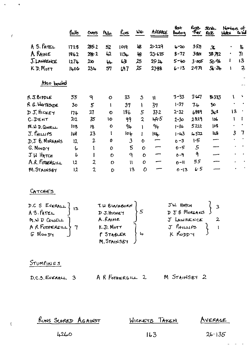|                                | Bolb           | Overs          | $m_{\rm dn}$ | Runs                     | WL-            | AVERAGE      | Best<br>Bashing | روبيهم<br>$\sigma_{\rm eff}$ | Stok.<br>fae  | Numbers of<br>Workes Robell<br>Wes |                         |
|--------------------------------|----------------|----------------|--------------|--------------------------|----------------|--------------|-----------------|------------------------------|---------------|------------------------------------|-------------------------|
| A S. PATEL                     | 1728           | 285.2          | 52           | 1019                     | iß             | 21.229       | $4 - 20$        | 3.571                        | $\mathfrak X$ |                                    | il.                     |
| A RAINE                        | 1862           | 298.2          | 42           | $1134 -$                 | 48             | 23.625       | $8 - 72$        | 3801                         | 38 792        | ٠                                  | 71                      |
| J. LAWRENCE                    | 1274           | 210            | μ.           | 63                       | 25             | 25.24        | $5 - 40$        | 3.005                        | <b>50 AL</b>  | Ł                                  | 13                      |
| K D. MOTT                      | 1406           | 23h            | 51           | L97                      | 25             | 27-88        | $6 - 13$        | 29 <b>7</b>                  | $5.2 +$       | 1                                  | $\overline{\mathbf{c}}$ |
| Also bowled                    |                |                |              |                          |                |              |                 |                              |               |                                    |                         |
| RJ.BIDDLE                      | 55             | ٩              | $\mathbf O$  | 33                       | 3              | $\mathbf{u}$ | $3 - 33$        | 3.47                         | 18333         | ١                                  |                         |
| R G. WHITESUDE                 | 3 <sub>o</sub> | 5              | I            | 37                       |                | 37           | $1 - 37$        | 7.4                          | $30^{\circ}$  |                                    |                         |
| DJ. HICKEY                     | 174            | 27             | $\bullet$    | 186                      | 5              | $37 - 2$     | $2 - 32$        | 6889                         | $3 - 5$       | 13                                 |                         |
| C.DENT                         | 212            | 35             | 10           | 99                       | $\overline{2}$ | 44.5         | $2 - 30$        | 2.829                        | 106           | ١                                  |                         |
| M. W. D. COWELL                | 108            | 18             | $\mathbf 0$  | 94                       |                | 94           | $1 - 36$        | 5212                         | 108           |                                    |                         |
| $J.$ $\ell$ <sup>HILLIPS</sup> | JL8            | 23             |              | 104                      |                | $ 0 _p$      | $1 - 43$        | 4522                         | luS.          | $\overline{3}$                     | 7                       |
| D.J B. MORGANS                 | 12             | $\overline{2}$ | 0            | $\overline{\mathcal{S}}$ | $\bullet$      |              | $0 - 3$         | 1.5                          | --            |                                    |                         |
| G. MOODY                       | 6              |                | 0            | $\overline{5}$           | $\mathbf O$    |              | $0 - 5$         | $\mathfrak{s}$               |               |                                    |                         |
| JW HATCH                       | b              |                | $\mathbf C$  | $\mathbf{q}$             | $\mathbf C$    |              | $0 - 9$         | 9                            |               |                                    |                         |
| A.R. FOTHERGILL                | 12             | 2              | O            | $\mathbf{H}$             | $\mathcal{O}$  |              | $0 - 11$        | 55                           |               |                                    |                         |
| <b>M.STAINSBY</b>              | $\overline{2}$ | $\mathbf{2}$   | D            | 13                       | 0              |              | $0 - 13$        | 6.5                          |               |                                    |                         |

#### CATCHES

 $\alpha$  and  $\alpha$ 

 $\overline{t}$ 

| D.C S EVERALL }<br>A S. PATEL } | T. W BLACKBURN<br>D J. HICKEY | JW HATCH<br>D J B MORGANS |
|---------------------------------|-------------------------------|---------------------------|
| $M.W.D$ COWELL                  | A.RAINE                       | J LAWRENCE                |
| $AR$ FORMERGILL                 | K.D. MOTT                     | $J$ $f$ $H$ $H$ $H$ $P3$  |
| G Moo Dy                        | P STABLER                     | K RODDY                   |
|                                 | M. STAINSBY                   |                           |

STUMPINGS

 $\overline{1}$ 

| $D.C.5.$ EVERALL $3$ | A R FOTHERGILL 2 |  | M STAINSBY 2 |  |
|----------------------|------------------|--|--------------|--|
|----------------------|------------------|--|--------------|--|

| RUNS SCORED AGAINST | WICKETS TAKEN | AVERACE |
|---------------------|---------------|---------|
| 4260                | 163.          | 26.135  |

 $\mathcal{L}_{\text{max}}$ 

 $\equiv$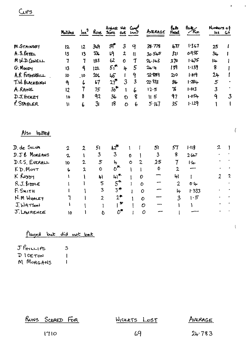|                   | Motches          | ln <sup>9</sup> | Runs                    | Highest Not Come<br>Score | ovt                   | Inn?                    |                | AVERAGE        | bats<br>Food   | $\frac{B_0}{R_0}$         | Numbers of<br><b>LLS</b> | $\mathbf{G}$ |
|-------------------|------------------|-----------------|-------------------------|---------------------------|-----------------------|-------------------------|----------------|----------------|----------------|---------------------------|--------------------------|--------------|
| <b>M</b> STAINSBY | 12               | 12              | 349                     | ም.                        | 3                     | 9                       |                | 38.778         | $+77$          | 1.367                     | 25                       |              |
| A.S. PATEL        | $\overline{3}$   | 13              | 33.                     | L <sub>1</sub>            | $\mathbf{z}$          | $\mathbf{I}$            |                | 30.545         | 321            | <u>ዕ.ዓ</u> 55             | $34 -$                   |              |
| MU. D COWELL      | 7                | 7               | 183                     | 62                        | $\mathbf o$           | 7                       |                | 24.143         | 270            | 1.475                     | 14                       |              |
| G. Moory          | 13               | 9               | 122                     | 5 <sup>4</sup>            | 4                     | 5                       |                | $24 - 4$       | 139            | 1.139                     | 8                        |              |
| A.R FOTHERGILL    | 10               | $\overline{10}$ | 20 <sub>4</sub>         | 46                        | L                     | 9                       |                | 22.889         | 210            | 1.019                     | $2+$                     |              |
| T.W. BLACKBURN    | 9                | L               | 57                      | 27                        | $\overline{3}$        | $\overline{\mathbf{3}}$ |                | 22.333         | 86             | 1.284                     | 5                        |              |
| A.RAINE           | 12               | 7               | 75                      | $30^*$                    | 1                     | 6                       |                | 12.5           | 76             | 1.013                     | $\mathbf{3}$             |              |
| $D. J.$ th creat  | 10               | 8               | 92                      | 36                        | $\mathbf D$           | <b>g</b>                |                | $\parallel$ 5  | 97             | 1.054                     | 9                        | $\mathbf{3}$ |
| P. STABLER        | $\mathbf{I}$     | 6               | 3 <sub>l</sub>          | 8                         | O                     |                         | 6              | 5.11           | 35             | 1.129                     |                          |              |
| Also<br>batted    |                  |                 |                         |                           |                       |                         |                |                |                |                           |                          |              |
| D. de Silva       | $\boldsymbol{2}$ | $\overline{2}$  | 51                      | $\mathcal{L}^{\star}$     |                       |                         |                | 51             | 57             | 1.119                     | 2                        |              |
| D.J.B MORGANS     | $\mathbf{Z}$     | ١               | $\mathbf{3}$            | $\mathbf{3}$              |                       | 0                       |                | $\mathfrak{Z}$ | 8              | 2.667                     |                          |              |
| D.C.S. EVERALL    | 10               | $\overline{2}$  | 5                       | 4                         |                       | $\bullet$               | $\overline{c}$ | 2.5            | $\mathbf 7$    | $\mathsf{I}^{\mathsf{L}}$ |                          |              |
| KD.Mort           | 6                | 2               | O                       | $o^*$                     |                       | ١                       |                | 0              | $\mathbf{2}$   |                           |                          |              |
| K Roopy           |                  |                 | h l                     | $\mu$ ነ*                  |                       |                         | 0              |                | 41             | İ                         | $\overline{2}$           | $\mathbf{2}$ |
| R.J. BIDDLE       |                  |                 | 5                       | $5^{\textup{+}}$          |                       |                         | 0              |                | $\overline{2}$ | $0·1 -$                   |                          |              |
| F. SMITH          |                  |                 | $\overline{\mathbf{3}}$ | $3^{\prime\prime}$        |                       |                         | $\mathcal{O}$  |                | 4              | 1.333                     |                          |              |
| N. M WHALEY       |                  |                 | $\overline{2}$          | $2^{\bullet}$             |                       |                         | $\mathbf O$    |                | $\mathfrak{Z}$ | 1.5                       |                          |              |
| J. WATSON         |                  |                 |                         |                           | $\blacktriangleright$ |                         | $\mathcal{O}$  |                |                |                           |                          |              |

### Played but did not bot

 $10 \t 1 \t 0 \t 0^*$ 

| ${\mathcal T}$ for LLIPS | 3 |
|--------------------------|---|
| D I CETON                |   |
| M MORGANS                |   |

J. LAURENCE

Cups

RUNS SCORED FOR

WICKETS LOST

 $\overline{O}$ 

 $\mathbf{1}$ 

 $\sim 1$ 

AVERAGE

 $\hat{\mathbf{r}}$ 

 $\hat{\mathbf{A}}$ 

 $\overline{(\ }$ 

 $\overline{\mathcal{N}}$ 

 $24.783$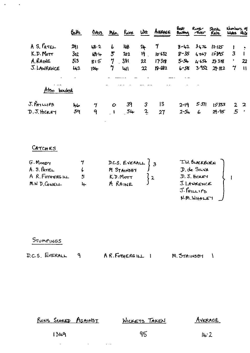|                                | <u>Ealts</u>    | 0 <sub>ks</sub>            | Mdn.          | <u>funs</u> | Wht               | AVERAGE  | Best<br>Bowling      | Rung<br><i><b>Aver</b></i> | Strikt.<br><b>Rate</b> | Numbers of<br>Works White |              |
|--------------------------------|-----------------|----------------------------|---------------|-------------|-------------------|----------|----------------------|----------------------------|------------------------|---------------------------|--------------|
| A S. $P_{ATEL}$                | 29)             | <b>48.2</b>                | b             | ilb         | 24                | 7        | $8 - 42$             | 3476                       | $12 - 125$             |                           |              |
| K.D. Motr                      | 3 <sub>02</sub> | $H_1 +$                    | 5             | 202         | 19                | 10.632   | $8 - 35$             | 4.067                      | كالأنحاء               | 3                         |              |
| A.RAINE                        | 513             | $g \cup 5$                 | 7             | $-381$      | 22                | 17318    | $5 - 54$             | 4.656                      | 235B                   | ٠                         | 22           |
| J. LAWRENCE                    | 42              | 104                        | 7             | ખા          | 22                | 19.632   | $6 - 58$             | 3.952                      | 29.182                 | 7                         | $\mathbf{u}$ |
| bowled<br>mso.                 |                 |                            |               |             |                   |          |                      |                            |                        |                           |              |
| $J.$ PHILLIPS<br>$D.5.$ HICKEY | hь<br>59        | $\boldsymbol{\gamma}$<br>9 | $\mathcal{O}$ | 39<br>$5+$  | 3<br>$\mathbf{2}$ | 13<br>27 | $2 - 19$<br>$2 - 54$ | 5.571<br>6                 | 15333<br>29.95         | $2 -$<br>$\mathfrak{S}$   | -2           |

# CATCHES

 $\mathcal{L}^{\text{max}}_{\text{max}}$ 

| $G.M$ ogdy<br>A. S. RTEL |    | D.C.S. EVERALL $\begin{pmatrix} 3 \end{pmatrix}$<br>M STAINSBY | T.W. BLACKBURN<br>D. de SILVA                               |  |
|--------------------------|----|----------------------------------------------------------------|-------------------------------------------------------------|--|
| A R. FOTHERGILL          |    | K.D.MOTT                                                       | $D. J.$ Here $H$                                            |  |
| M.W.D.CowELL             | L. | A RAINE                                                        | J. LAWRENCE<br>$J$ . $f$ <sup><math>H</math></sup> $ILIP$ s |  |

 $\mathcal{L}^{\text{max}}_{\text{max}}$ 

J. THILLIPS J

## STUMPINGS

| D.C.S. EVERALL | A R. FOTHERG ILL 1 | M. STAINSBY 1 |  |
|----------------|--------------------|---------------|--|
|                |                    |               |  |

| <u>RUNS SCORED AGAINST</u> | <b>WICKETS TAKEN</b> | AVERAGE |
|----------------------------|----------------------|---------|
| 1349                       | 95                   | 14.2    |

 $\Delta \phi$  and  $\phi$  are  $\Delta \phi$  and  $\Delta \phi$  . Then  $\Delta \phi$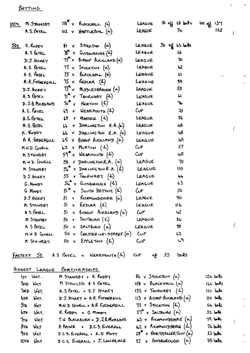BATTING

| M. STAINSBY<br>100 <sub>2</sub> | $118^{\mathrm{th}}$ v BLACKHALL $(a)$                | LEACUE            | $50$ off $(8)$ belts        | loo off 137 |  |
|---------------------------------|------------------------------------------------------|-------------------|-----------------------------|-------------|--|
| A.S.F                           | $102 \times$ HARTLEPOOL $(a)$                        | LEAGUE            | 74                          | 122         |  |
|                                 |                                                      |                   |                             |             |  |
| 505 K.Roppy                     | $81 \times$ Stackton $(\alpha)$                      | LEAGUE            | $50 \frac{11}{2}$ is bits   |             |  |
| $A.S$ fatel                     | $\mathcal{B}^{\sim}$ v Guisborough $(4)$             | LEAGUE            | 63                          |             |  |
|                                 | $D.5.$ therey $77^{\circ}$ v BISHOP AUCKLAND $(a)$   | LEAGUE            | 70                          |             |  |
|                                 | A.S PATEL 77 v STOCKTON (a)                          | LEAGUE            | 42                          |             |  |
|                                 | A S. PATEL $75 \text{ v}$ BLACKHALL $(\infty)$       | LEAGUE            | $\mathbf{C}$                |             |  |
| A.R. FOTHERCILL                 | $15$ v Redcar $(4)$                                  | LEAGUE            | 88                          |             |  |
| $D.5.$ Here $y$                 | $73^{\circ}$ $\vee$ MipplesBROUGH $(\infty)$         | LEAGUE            | 55                          |             |  |
|                                 | A.S. PATEL $T_1^{\bullet}$ v THORNABY $(L)$          | LEAGUE            | ι.                          |             |  |
|                                 | $D.5.6$ Morgans $70^\circ$ v Norton $(k)$            | LEAGUE            | ኍ                           |             |  |
| $A.S.F_{ATEL}$                  | $69$ v WEARMOUTH $(4)$                               | $C_{\mathsf{UP}}$ | 33                          |             |  |
|                                 | A.S. PATEL 69 V MARSKE $(4)$                         | LEAGUE            | 86                          |             |  |
| A.S. PATEL                      | <b>66 V DARLINGTON R.A.</b> (a)                      | LEAGUE            | 48                          |             |  |
|                                 | K. RODDY $b\vee$ DARLING TON R.A. $(a)$              | LEAGUE            | 48                          |             |  |
| A R. FOTHERGILL                 | $65$ v BISHOP AUCKLAND $(\alpha)$                    | LEAGUE            | 49                          |             |  |
| MND. CONELL                     | $62$ Y MURTON $(4)$                                  | Cup               | 51                          |             |  |
| M STAINSBY                      | $59$ v WEARMOUTH $(A)$                               | Cup               | کیر                         |             |  |
| M HD. CONELL                    | 58 V DARLINGTON $R.A.$ $(\alpha)$                    | LEAGUE            | 70                          |             |  |
| M STAINSBY                      | $56^{\circ}$ V DARLINGTON R.A. $(L)$                 | LEAGUE            | 110                         |             |  |
| D J.HCKEY                       | $55$ v ThorNABY $(A)$                                | LEAGUE            | 44                          |             |  |
| $G.$ Moogri                     | $54^{\circ}$ $\gamma$ GUISBOROUGH $(4)$              | LEAGUE            | 63                          |             |  |
| G Moopy                         | $5i^*$ v $3ovth$ HETTOM $(k)$                        | Cv <sup>P</sup>   | 5 <sub>o</sub>              |             |  |
| $J.5$ the $K$                   | $5!$ $\times$ RICHMONDSHIRE $(\alpha)$               | LEAGUE            | 50                          |             |  |
| M STAINSBY                      | $5I$ v REDCAR $(A)$                                  | LEAGUE            | ط 11                        |             |  |
| $A$ s. PATEL                    | 51 v BISHOP AUCKLAND(a)                              | $\omega$ r        | 42                          |             |  |
| M STAINSBY                      | $50$ v $S$ ALTBURN $(L)$                             | LEAGUE            | 86                          |             |  |
|                                 | A SPATEL 50 V SALTBURN (a)                           | LEAGUE            | 98                          |             |  |
|                                 | $m \times D$ Concur 50 v CHESTER-LE-STREET $(o)$ CUP |                   | 62                          |             |  |
| M STAINSBY                      | 50 v EPPLETON $(\mathcal{L})$                        | C                 | $\mathcal{L}^{\mathcal{A}}$ |             |  |
|                                 |                                                      |                   |                             |             |  |

FASTEST 50 AS PATEL V WEARMOUTH (2) CUP of 33 balls

 $\overline{C}$ 

 $\ddot{\phantom{a}}$ 

 $\mathbf{r}^{\left(1\right)}$  and  $\mathbf{r}^{\left(2\right)}$ 

### HIGHEST LEAGUE PARTMERSHIPS

| $157$ WKT.                           | M STAINSBY + K RODDY           | $86$ v Stocktor $(a)$                     | والمعا ما12     |
|--------------------------------------|--------------------------------|-------------------------------------------|-----------------|
| 2ND WKT                              | M STAINSBY+ A S PATEL          | $158$ v $6$ LACKHALL $(\infty)$           | دالمعا ماما!    |
| 3RD LIKT.                            | A.S. PATEL + $DT$ HICKEY       | 132 $\sqrt{100}$ Thorwast $(4)$           | $110$ $h$ $h$ s |
| 4TH WKT.                             | D J. HICKEY + A.R. FOTHERGILL  | $113 \times$ Bistop Aucrements $(\alpha)$ | $110$ bills     |
| $5\pi$ $\mu$                         | M.W.D CONELL + A.R FOTHERGILL  | $73 \times$ Stocktory $(k)$               | $64$ $bds$      |
| $6\pi$ WKT.                          | $K$ Roppy $+$ G Moopy          | $37^{\circ}$ v SALTOURN $(\alpha)$        | $32$ belo       |
| $Tm$ WKT                             | T.W BLACKBURN + D.J.B. MORGANS | $H_3$ & RICHMONDSHIRE $(\alpha)$          | 79 bolls        |
| $8\pi$ Wer                           | A RAINE + D.C.S. EVERALL       | $42$ $\gamma$ Richmond DSHTRE $(\omega)$  | $76$ bits       |
| 9TH WKT                              | DCS. EVERML + K.D MOTT         | $25$ $\sigma$ NORTHALLERTON $(a)$         | $23$ bits       |
| $I$ <sub>OTH</sub> $W$ <sub>KT</sub> | D.C.S. EVERALL + J. LAWRENCE   | 27 $\sqrt{6}$ GUISBOROUGH $(\alpha)$      | $35$ bils       |
|                                      |                                |                                           |                 |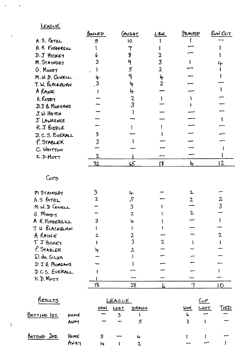### LEAGUE

 $\ddot{\phantom{0}}$ 

 $\overline{I}$ 

 $\bar{\chi}$ 

 $\Delta$ 

|                     | BOWLED         | CAUGHT                      | L.B.M.                  | <u>Inmer</u> | <b>RUN CUT</b>             |
|---------------------|----------------|-----------------------------|-------------------------|--------------|----------------------------|
| A.S. PATEL          | 5              | 10                          |                         |              |                            |
| A.R FOTHERGILL      |                |                             |                         |              |                            |
| D. J HICKEY         |                | з                           | 2                       |              |                            |
| M. STAINSBY         |                |                             | $\overline{3}$          |              |                            |
| $G.$ Moop $H$       |                | 5                           | $\boldsymbol{z}$        |              |                            |
| M.W.D. COWELL       | 4              | ٩                           | 4                       |              |                            |
| T. W. BLACKBURN     |                | 4                           | $\overline{\mathbf{2}}$ |              |                            |
| A RAINE             |                | 4                           |                         |              |                            |
| K RODOY             |                | 2<br>3                      |                         |              |                            |
| D.J & MORGANS       |                |                             |                         |              |                            |
| $J. \omega$ . Harch |                |                             |                         |              |                            |
| J LAWRENCE          |                |                             |                         |              |                            |
| R.J BIDDLE          |                |                             |                         |              |                            |
| D. C. S. EVERALL    | 3              |                             |                         |              |                            |
| P. STABLER          | 3              |                             |                         |              |                            |
| C. WHITTON          |                |                             |                         |              |                            |
| K.D. MOTT           |                |                             |                         |              |                            |
|                     | 32             | 65                          | 18                      | 4            | 12                         |
| Curs                |                |                             |                         |              |                            |
| M STAINSBY          | 3              | ᡰ                           |                         | 2            |                            |
| A.S PATEL           | $\overline{2}$ | $\mathcal{S}_{\mathcal{C}}$ |                         |              | $\boldsymbol{\mathcal{Z}}$ |
| MW. D CONELL        |                | $\mathbf{3}$                |                         |              | 3                          |
| G Maggy             |                | $\overline{2}$              |                         | $\mathbf{2}$ |                            |
| A R. FOTHERGILL     | 3              | 4                           |                         |              |                            |
| T W BLACKBURN       |                |                             |                         |              |                            |
| A RAINE             |                | 2                           |                         |              | $\mathfrak{2}$             |
| T J HOKEY           |                | 3                           | 2                       |              |                            |
| P. STABLER          |                | 2                           |                         |              |                            |
| D. de SILVA         |                |                             |                         |              |                            |
| D J.B. MORGARS      |                |                             |                         |              |                            |
| DCS. EVERALL        |                |                             |                         |              |                            |
| K D. MOTT           |                |                             |                         |              |                            |
|                     | 18             | 28                          |                         |              | IO                         |

| RESULTS            |      | LEAGUE |      | <u>Cup</u>   |             |      |      |
|--------------------|------|--------|------|--------------|-------------|------|------|
|                    |      | WON    | LOST | <b>DRAWH</b> | <b>Work</b> | LOST | TiED |
| BATTING IST.       | HOME |        |      |              | 6           |      |      |
|                    | AUMY |        |      |              |             |      |      |
| $B$ ATTING $2np$ . | HOME | 5      |      | 1            |             |      |      |
|                    | ANAY | ⊬      |      | -9.          |             |      |      |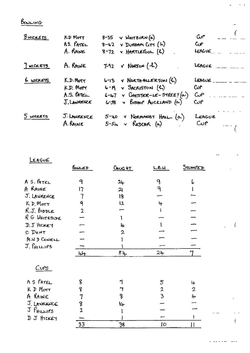BOWLING

| $8$ wickers | K.D MOTT      | $8-35$ v WHITBURN $(\alpha)$            | $\omega$ r              |
|-------------|---------------|-----------------------------------------|-------------------------|
|             | $A3.$ $PATEL$ | $8-42$ v DURHAM $C\mathbf{r}$ (h)       | $\mathbf{C} \mathbf{P}$ |
|             | A. RAINE      | $8-72$ v HARTLEPOOL $(k)$               | LEAGUE                  |
| HICKETS     | A. RAINE      | $7-92$ $\checkmark$ NORTON $(4)$        | LEAGUE                  |
| 6 WICKETS   | K.D.Mort      | $6 - 13$ v NORTH-ALLERTON $(A)$         | LEAGUE                  |
|             | K.D. Morr     | $6 - P_1 \vee$ SACRISTON $(A)$          | $C_{\mathcal{A}}$       |
|             | $A.S.$ PATEL  | $6 - 47$ v CHESTER-LE-STREE $I(\alpha)$ | $C_0P$                  |
|             | J. LAWRENCE   | $6-58$ v BISHOP AUCKLAND $(a)$          | $\mathbf{C}$            |
| 5 WICKETS   | J. LAWRENCE   | $5-40$ v Normonsy HALL $(\alpha)$       | LEAGUE                  |
|             | A. RAINE      | $5-54 \times$ REDCAR (a)                | $C$ up                  |

| LEAGUE                  |                |                  |                 |                      |  |
|-------------------------|----------------|------------------|-----------------|----------------------|--|
|                         | BONLED         | $C_{H\cup G}$ HT | L.6.1           | STUMPED              |  |
| A S. PATEL              | 9              | $24 -$           | 9               | 6                    |  |
| A RAINE                 | 17             | 21               | $\mathbf{Q}$    |                      |  |
| J. LAWRENCE             |                | 18               |                 |                      |  |
| $K$ D. Mor $\tau$       | ٩              | 12               | 4               |                      |  |
| $R.J.$ BIDDLE           | $\overline{2}$ |                  |                 |                      |  |
| RG WHITESIDE            |                |                  |                 |                      |  |
| D.J HICKEY              |                | 4                |                 |                      |  |
| C DENT                  |                | 2                |                 |                      |  |
| M.W.D CONELL            |                |                  |                 |                      |  |
| J. PHILIPS              |                |                  |                 |                      |  |
|                         | Lf             | 84.              | 24              | $\mathbf{\tilde{r}}$ |  |
| C <sub>vPS</sub>        |                |                  |                 |                      |  |
| A S PATEL               | 8              |                  | $\overline{5}$  | 4                    |  |
| KD Morr                 | የ              | H                | $\mathbf 2$     | $\overline{2}$       |  |
| A RAINE                 | 7              | 8                | 3               | 4                    |  |
| J. LAWRENCE             | 8              | 14               |                 |                      |  |
| $Jf$ <sup>HILLIPS</sup> | $\overline{2}$ |                  |                 |                      |  |
| D J HICKEY              |                |                  |                 |                      |  |
|                         | 33             | 38               | $\overline{10}$ | Ħ                    |  |

 $\overline{a}$ 

 $\hat{C}$